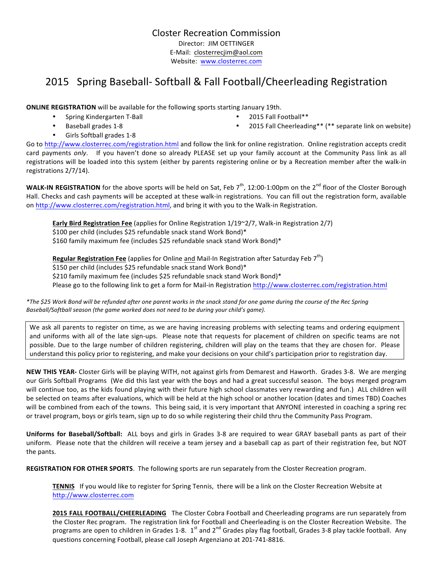Closter Recreation Commission Director: JIM OETTINGER E-Mail: closterrecjim@aol.com Website: www.closterrec.com

# 2015 Spring Baseball- Softball & Fall Football/Cheerleading Registration

**ONLINE REGISTRATION** will be available for the following sports starting January 19th.

- Spring Kindergarten T-Ball
- 

registrations 2/7/14).

2015 Fall Football\*\*

Baseball grades 1-8

• 2015 Fall Cheerleading\*\* (\*\* separate link on website)

- Girls Softball grades 1-8
- Go to http://www.closterrec.com/registration.html and follow the link for online registration. Online registration accepts credit card payments only. If you haven't done so already PLEASE set up your family account at the Community Pass link as all registrations will be loaded into this system (either by parents registering online or by a Recreation member after the walk-in

**WALK-IN REGISTRATION** for the above sports will be held on Sat, Feb  $7<sup>th</sup>$ , 12:00-1:00pm on the  $2<sup>nd</sup>$  floor of the Closter Borough Hall. Checks and cash payments will be accepted at these walk-in registrations. You can fill out the registration form, available on http://www.closterrec.com/registration.html, and bring it with you to the Walk-in Registration.

**Early Bird Registration Fee** (applies for Online Registration 1/19~2/7, Walk-in Registration 2/7) \$100 per child (includes \$25 refundable snack stand Work Bond)\* \$160 family maximum fee (includes \$25 refundable snack stand Work Bond)\*

**Regular Registration Fee** (applies for Online and Mail-In Registration after Saturday Feb 7<sup>th</sup>) \$150 per child (includes \$25 refundable snack stand Work Bond)\* \$210 family maximum fee (includes \$25 refundable snack stand Work Bond)\* Please go to the following link to get a form for Mail-in Registration http://www.closterrec.com/registration.html

*\*The \$25 Work Bond will be refunded after one parent works in the snack stand for one game during the course of the Rec Spring*  Baseball/Softball season (the game worked does not need to be during your child's game).

We ask all parents to register on time, as we are having increasing problems with selecting teams and ordering equipment and uniforms with all of the late sign-ups. Please note that requests for placement of children on specific teams are not possible. Due to the large number of children registering, children will play on the teams that they are chosen for. Please understand this policy prior to registering, and make your decisions on your child's participation prior to registration day.

NEW THIS YEAR- Closter Girls will be playing WITH, not against girls from Demarest and Haworth. Grades 3-8. We are merging our Girls Softball Programs (We did this last year with the boys and had a great successful season. The boys merged program will continue too, as the kids found playing with their future high school classmates very rewarding and fun.) ALL children will be selected on teams after evaluations, which will be held at the high school or another location (dates and times TBD) Coaches will be combined from each of the towns. This being said, it is very important that ANYONE interested in coaching a spring rec or travel program, boys or girls team, sign up to do so while registering their child thru the Community Pass Program.

**Uniforms for Baseball/Softball:** ALL boys and girls in Grades 3-8 are required to wear GRAY baseball pants as part of their uniform. Please note that the children will receive a team jersey and a baseball cap as part of their registration fee, but NOT the pants.

**REGISTRATION FOR OTHER SPORTS**. The following sports are run separately from the Closter Recreation program.

**TENNIS** If you would like to register for Spring Tennis, there will be a link on the Closter Recreation Website at http://www.closterrec.com

**2015 FALL FOOTBALL/CHEERLEADING** The Closter Cobra Football and Cheerleading programs are run separately from the Closter Rec program. The registration link for Football and Cheerleading is on the Closter Recreation Website. The programs are open to children in Grades 1-8.  $1^{st}$  and  $2^{nd}$  Grades play flag football, Grades 3-8 play tackle football. Any questions concerning Football, please call Joseph Argenziano at 201-741-8816.